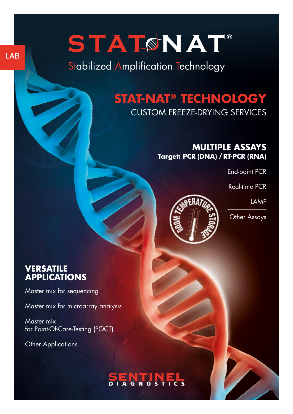# STAT®NAT®

Stabilized Amplification Technology

### **STAT-NAT® TECHNOLOGY** CUSTOM FREEZE-DRYING SERVICES

#### **MULTIPLE ASSAYS Target: PCR (DNA) / RT-PCR (RNA)**

End-point PCR

Real-time PCR

LAMP

Other Assays

Z

#### **VERSATILE APPLICATIONS**

Master mix for sequencing

Master mix for microarray analysis

Master mix for Point-Of-Care-Testing (POCT)

Other Applications

SENTINE



LAB